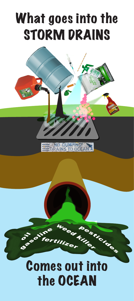# What goes into the STORM DRAINS



## Comes out into the OCEAN